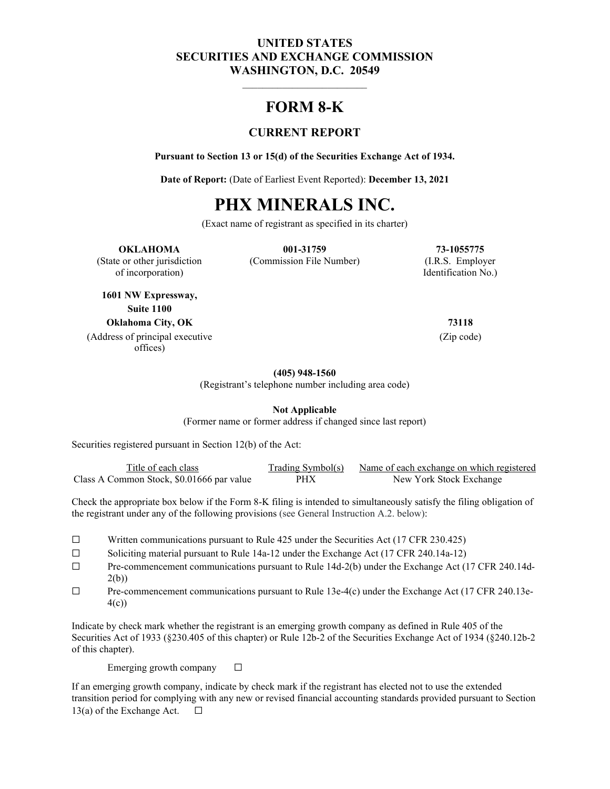## **UNITED STATES SECURITIES AND EXCHANGE COMMISSION WASHINGTON, D.C. 20549**

# **FORM 8-K**

 $\overline{\phantom{a}}$  , and the set of the set of the set of the set of the set of the set of the set of the set of the set of the set of the set of the set of the set of the set of the set of the set of the set of the set of the s

## **CURRENT REPORT**

**Pursuant to Section 13 or 15(d) of the Securities Exchange Act of 1934.**

**Date of Report:** (Date of Earliest Event Reported): **December 13, 2021**

# **PHX MINERALS INC.**

(Exact name of registrant as specified in its charter)

#### **OKLAHOMA 001-31759 73-1055775**

(State or other jurisdiction (Commission File Number) (I.R.S. Employer of incorporation) Identification No.)

**1601 NW Expressway, Suite 1100 Oklahoma City, OK 73118**

(Address of principal executive offices)

(Zip code)

#### **(405) 948-1560**

(Registrant's telephone number including area code)

**Not Applicable**

(Former name or former address if changed since last report)

Securities registered pursuant in Section 12(b) of the Act:

| Title of each class                       | Trading Symbol(s) | Name of each exchange on which registered |
|-------------------------------------------|-------------------|-------------------------------------------|
| Class A Common Stock, \$0.01666 par value | <b>PHX</b>        | New York Stock Exchange                   |

Check the appropriate box below if the Form 8-K filing is intended to simultaneously satisfy the filing obligation of the registrant under any of the following provisions (see General Instruction A.2. below):

- ☐ Written communications pursuant to Rule 425 under the Securities Act (17 CFR 230.425)
- ☐ Soliciting material pursuant to Rule 14a-12 under the Exchange Act (17 CFR 240.14a-12)
- ☐ Pre-commencement communications pursuant to Rule 14d-2(b) under the Exchange Act (17 CFR 240.14d-2(b))
- ☐ Pre-commencement communications pursuant to Rule 13e-4(c) under the Exchange Act (17 CFR 240.13e-4(c))

Indicate by check mark whether the registrant is an emerging growth company as defined in Rule 405 of the Securities Act of 1933 (§230.405 of this chapter) or Rule 12b-2 of the Securities Exchange Act of 1934 (§240.12b-2 of this chapter).

Emerging growth company  $\Box$ 

If an emerging growth company, indicate by check mark if the registrant has elected not to use the extended transition period for complying with any new or revised financial accounting standards provided pursuant to Section 13(a) of the Exchange Act.  $\Box$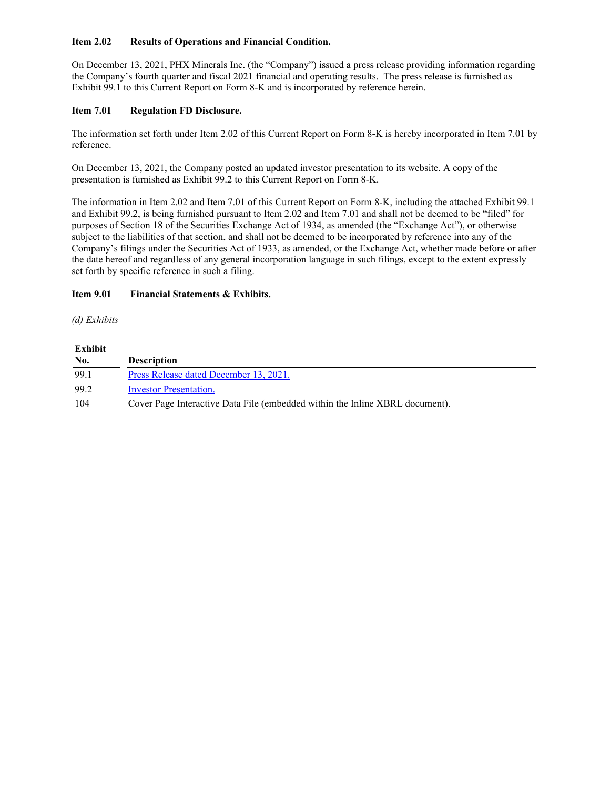#### **Item 2.02 Results of Operations and Financial Condition.**

On December 13, 2021, PHX Minerals Inc. (the "Company") issued a press release providing information regarding the Company's fourth quarter and fiscal 2021 financial and operating results. The press release is furnished as Exhibit 99.1 to this Current Report on Form 8-K and is incorporated by reference herein.

#### **Item 7.01 Regulation FD Disclosure.**

The information set forth under Item 2.02 of this Current Report on Form 8-K is hereby incorporated in Item 7.01 by reference.

On December 13, 2021, the Company posted an updated investor presentation to its website. A copy of the presentation is furnished as Exhibit 99.2 to this Current Report on Form 8-K.

The information in Item 2.02 and Item 7.01 of this Current Report on Form 8-K, including the attached Exhibit 99.1 and Exhibit 99.2, is being furnished pursuant to Item 2.02 and Item 7.01 and shall not be deemed to be "filed" for purposes of Section 18 of the Securities Exchange Act of 1934, as amended (the "Exchange Act"), or otherwise subject to the liabilities of that section, and shall not be deemed to be incorporated by reference into any of the Company's filings under the Securities Act of 1933, as amended, or the Exchange Act, whether made before or after the date hereof and regardless of any general incorporation language in such filings, except to the extent expressly set forth by specific reference in such a filing.

#### **Item 9.01 Financial Statements & Exhibits.**

#### *(d) Exhibits*

| Exhibit |                                                                              |
|---------|------------------------------------------------------------------------------|
| No.     | <b>Description</b>                                                           |
| 99.1    | Press Release dated December 13, 2021.                                       |
| 99.2    | Investor Presentation.                                                       |
| 104     | Cover Page Interactive Data File (embedded within the Inline XBRL document). |